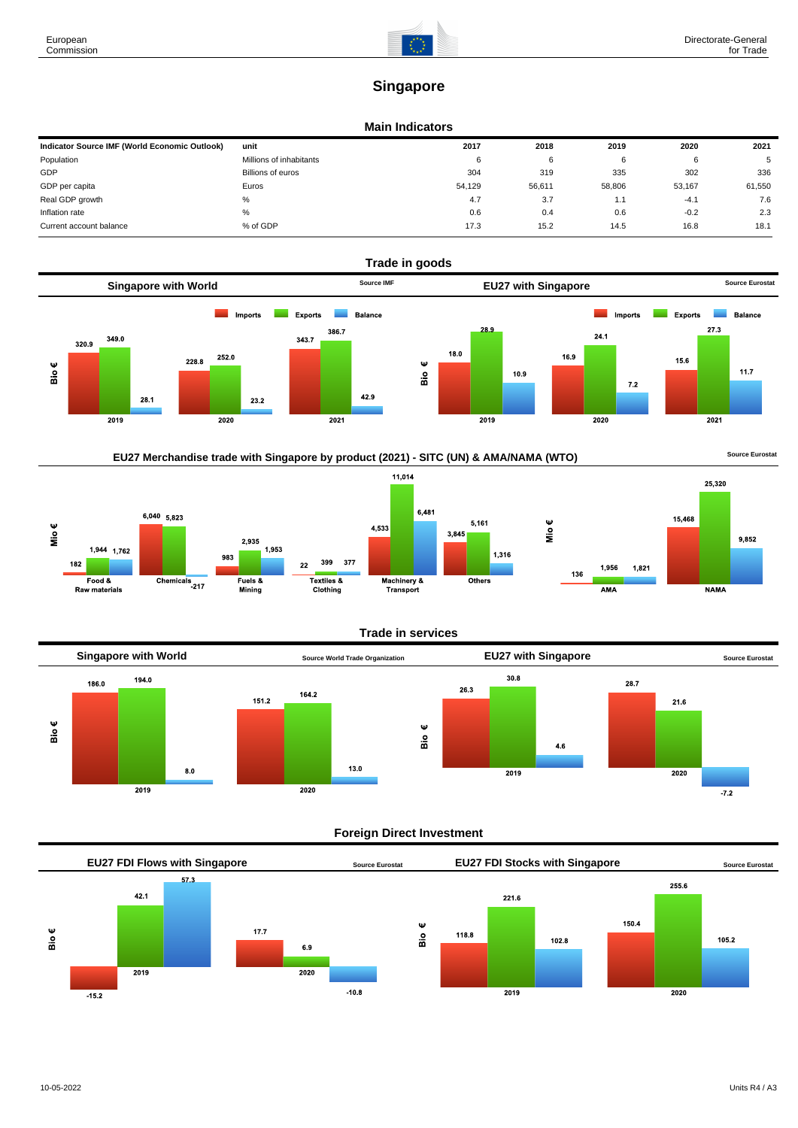

# **Singapore**

#### **Main Indicators**

| Indicator Source IMF (World Economic Outlook) | unit                    | 2017   | 2018   | 2019   | 2020   | 2021   |
|-----------------------------------------------|-------------------------|--------|--------|--------|--------|--------|
| Population                                    | Millions of inhabitants | 6      | 6      |        | 6      | 5      |
| GDP                                           | Billions of euros       | 304    | 319    | 335    | 302    | 336    |
| GDP per capita                                | Euros                   | 54,129 | 56,611 | 58,806 | 53,167 | 61,550 |
| Real GDP growth                               | %                       | 4.7    | 3.7    | 1.1    | $-4.1$ | 7.6    |
| Inflation rate                                | %                       | 0.6    | 0.4    | 0.6    | $-0.2$ | 2.3    |
| Current account balance                       | % of GDP                | 17.3   | 15.2   | 14.5   | 16.8   | 18.1   |











# **Foreign Direct Investment**